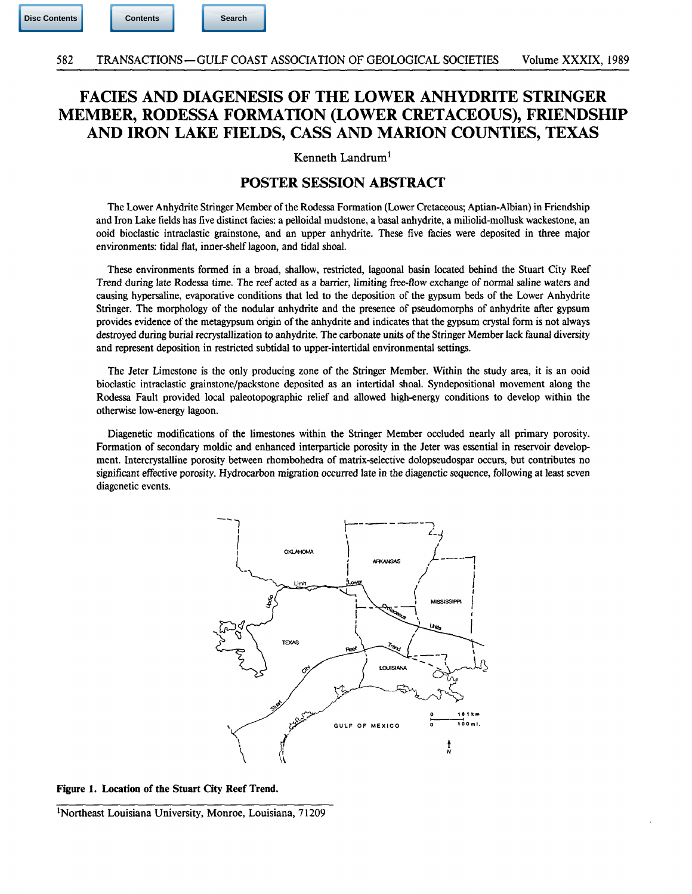## FACIES AND DIAGENESIS OF THE LOWER ANHYDRITE STRINGER MEMBER, RODESSA FORMATION (LOWER CRETACEOUS), FRIENDSHIP AND IRON LAKE FIELDS, CASS AND MARION COUNTIES, TEXAS

Kenneth Landrum<sup>1</sup>

## POSTER SESSION ABSTRACT

The Lower Anhydrite Stringer Member of the Rodessa Formation (Lower Cretaceous; Aptian-Albian) in Friendship and Iron Lake fields has five distinct fades: a pelloidal mudstone, a basal anhydrite, a miliolid-mollusk wackestone, an ooid bioclastic intraclastic grainstone, and an upper anhydrite. These five facies were deposited in three major environments: tidal flat, inner-shelf lagoon, and tidal shoal.

These environments formed in a broad, shallow, restricted, lagoonal basin located behind the Stuart City Reef Trend during late Rodessa time. The reef acted as a barrier, limiting free-flow exchange of normal saline waters and causing hypersaline, evaporative conditions that led to the deposition of the gypsum beds of the Lower Anhydrite Stringer. The morphology of the nodular anhydrite and the presence of pseudomorphs of anhydrite after gypsum provides evidence of the metagypsum origin of the anhydrite and indicates that the gypsum crystal form is not always destroyed during burial recrystallization to anhydrite. The carbonate units of the Stringer Member lack faunal diversity and represent deposition in restricted subtidal to upper-intertidal environmental settings.

The Jeter Limestone is the only producing zone of the Stringer Member. Within the study area, it is an ooid bioclastic intraclastic grainstone/packstone deposited as an intertidal shoal. Syndepositional movement along the Rodessa Fault provided local paleotopographic relief and allowed high-energy conditions to develop within the otherwise low-energy lagoon.

Diagenetic modifications of the limestones within the Stringer Member occluded nearly all primary porosity. Formation of secondary moldic and enhanced interparticle porosity in the Jeter was essential in reservoir development. Intercrystalline porosity between rhombohedra of matrix-selective dolopseudospar occurs, but contributes no significant effective porosity. Hydrocarbon migration occurred late in the diagenetic sequence, following at least seven diagenetic events.



**Figure 1. Location of the Stuart City Reef Trend.** 

<sup>&#</sup>x27;Northeast Louisiana University, Monroe, Louisiana, 71209